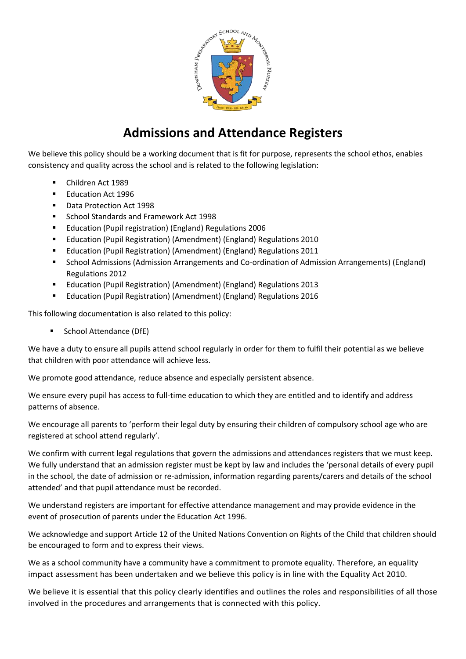

# **Admissions and Attendance Registers**

We believe this policy should be a working document that is fit for purpose, represents the school ethos, enables consistency and quality across the school and is related to the following legislation:

- Children Act 1989
- Education Act 1996
- Data Protection Act 1998
- School Standards and Framework Act 1998
- Education (Pupil registration) (England) Regulations 2006
- Education (Pupil Registration) (Amendment) (England) Regulations 2010
- Education (Pupil Registration) (Amendment) (England) Regulations 2011
- School Admissions (Admission Arrangements and Co-ordination of Admission Arrangements) (England) Regulations 2012
- Education (Pupil Registration) (Amendment) (England) Regulations 2013
- **Education (Pupil Registration) (Amendment) (England) Regulations 2016**

This following documentation is also related to this policy:

School Attendance (DfE)

We have a duty to ensure all pupils attend school regularly in order for them to fulfil their potential as we believe that children with poor attendance will achieve less.

We promote good attendance, reduce absence and especially persistent absence.

We ensure every pupil has access to full-time education to which they are entitled and to identify and address patterns of absence.

We encourage all parents to 'perform their legal duty by ensuring their children of compulsory school age who are registered at school attend regularly'.

We confirm with current legal regulations that govern the admissions and attendances registers that we must keep. We fully understand that an admission register must be kept by law and includes the 'personal details of every pupil in the school, the date of admission or re-admission, information regarding parents/carers and details of the school attended' and that pupil attendance must be recorded.

We understand registers are important for effective attendance management and may provide evidence in the event of prosecution of parents under the Education Act 1996.

We acknowledge and support Article 12 of the United Nations Convention on Rights of the Child that children should be encouraged to form and to express their views.

We as a school community have a community have a commitment to promote equality. Therefore, an equality impact assessment has been undertaken and we believe this policy is in line with the Equality Act 2010.

We believe it is essential that this policy clearly identifies and outlines the roles and responsibilities of all those involved in the procedures and arrangements that is connected with this policy.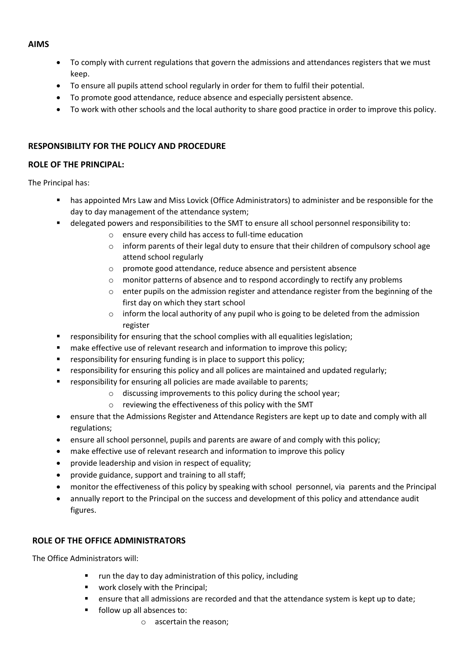#### **AIMS**

- To comply with current regulations that govern the admissions and attendances registers that we must keep.
- To ensure all pupils attend school regularly in order for them to fulfil their potential.
- To promote good attendance, reduce absence and especially persistent absence.
- To work with other schools and the local authority to share good practice in order to improve this policy.

# **RESPONSIBILITY FOR THE POLICY AND PROCEDURE**

## **ROLE OF THE PRINCIPAL:**

The Principal has:

- has appointed Mrs Law and Miss Lovick (Office Administrators) to administer and be responsible for the day to day management of the attendance system;
- delegated powers and responsibilities to the SMT to ensure all school personnel responsibility to:
	- o ensure every child has access to full-time education
	- $\circ$  inform parents of their legal duty to ensure that their children of compulsory school age attend school regularly
	- o promote good attendance, reduce absence and persistent absence
	- $\circ$  monitor patterns of absence and to respond accordingly to rectify any problems
	- $\circ$  enter pupils on the admission register and attendance register from the beginning of the first day on which they start school
	- $\circ$  inform the local authority of any pupil who is going to be deleted from the admission register
- **F** responsibility for ensuring that the school complies with all equalities legislation;
- make effective use of relevant research and information to improve this policy;
- **F** responsibility for ensuring funding is in place to support this policy;
- responsibility for ensuring this policy and all polices are maintained and updated regularly;
- **F** responsibility for ensuring all policies are made available to parents;
	- o discussing improvements to this policy during the school year;
	- o reviewing the effectiveness of this policy with the SMT
- ensure that the Admissions Register and Attendance Registers are kept up to date and comply with all regulations;
- ensure all school personnel, pupils and parents are aware of and comply with this policy;
- make effective use of relevant research and information to improve this policy
- provide leadership and vision in respect of equality;
- provide guidance, support and training to all staff;
- monitor the effectiveness of this policy by speaking with school personnel, via parents and the Principal
- annually report to the Principal on the success and development of this policy and attendance audit figures.

## **ROLE OF THE OFFICE ADMINISTRATORS**

The Office Administrators will:

- run the day to day administration of this policy, including
- **•** work closely with the Principal;
- ensure that all admissions are recorded and that the attendance system is kept up to date;
- follow up all absences to:
	- o ascertain the reason;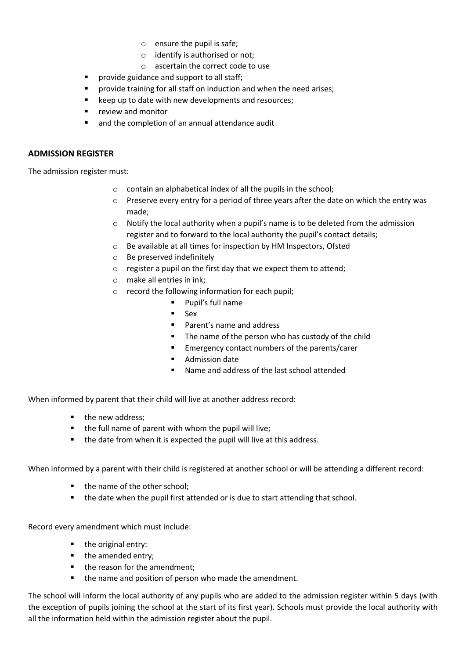- o ensure the pupil is safe;
- o identify is authorised or not;
- o ascertain the correct code to use
- **P** provide guidance and support to all staff;
- provide training for all staff on induction and when the need arises;
- keep up to date with new developments and resources;
- **•** review and monitor
- and the completion of an annual attendance audit

#### **ADMISSION REGISTER**

The admission register must:

- o contain an alphabetical index of all the pupils in the school;
- $\circ$  Preserve every entry for a period of three years after the date on which the entry was made;
- $\circ$  Notify the local authority when a pupil's name is to be deleted from the admission register and to forward to the local authority the pupil's contact details;
- o Be available at all times for inspection by HM Inspectors, Ofsted
- o Be preserved indefinitely
- o register a pupil on the first day that we expect them to attend;
- o make all entries in ink;
- o record the following information for each pupil;
	- Pupil's full name
	- $Sex$
	- **Parent's name and address**
	- The name of the person who has custody of the child
	- **Emergency contact numbers of the parents/carer**
	- Admission date
	- Name and address of the last school attended

When informed by parent that their child will live at another address record:

- $\blacksquare$  the new address:
- the full name of parent with whom the pupil will live;
- the date from when it is expected the pupil will live at this address.

When informed by a parent with their child is registered at another school or will be attending a different record:

- the name of the other school;
- the date when the pupil first attended or is due to start attending that school.

Record every amendment which must include:

- the original entry:
- the amended entry:
- the reason for the amendment;
- the name and position of person who made the amendment.

The school will inform the local authority of any pupils who are added to the admission register within 5 days (with the exception of pupils joining the school at the start of its first year). Schools must provide the local authority with all the information held within the admission register about the pupil.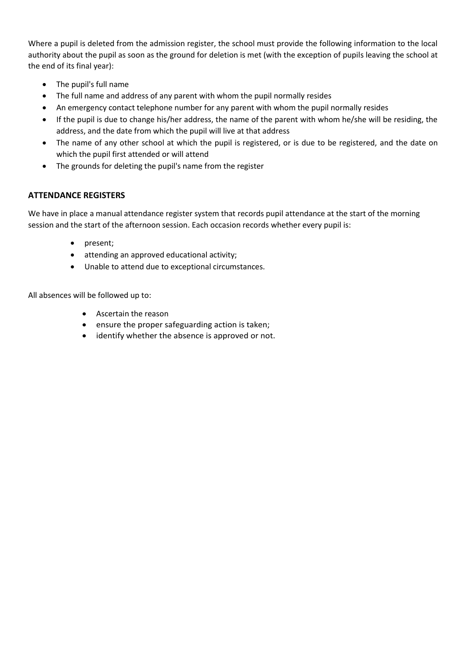Where a pupil is deleted from the admission register, the school must provide the following information to the local authority about the pupil as soon as the ground for deletion is met (with the exception of pupils leaving the school at the end of its final year):

- The pupil's full name
- The full name and address of any parent with whom the pupil normally resides
- An emergency contact telephone number for any parent with whom the pupil normally resides
- If the pupil is due to change his/her address, the name of the parent with whom he/she will be residing, the address, and the date from which the pupil will live at that address
- The name of any other school at which the pupil is registered, or is due to be registered, and the date on which the pupil first attended or will attend
- The grounds for deleting the pupil's name from the register

#### **ATTENDANCE REGISTERS**

We have in place a manual attendance register system that records pupil attendance at the start of the morning session and the start of the afternoon session. Each occasion records whether every pupil is:

- present;
- attending an approved educational activity;
- Unable to attend due to exceptional circumstances.

All absences will be followed up to:

- Ascertain the reason
- ensure the proper safeguarding action is taken;
- identify whether the absence is approved or not.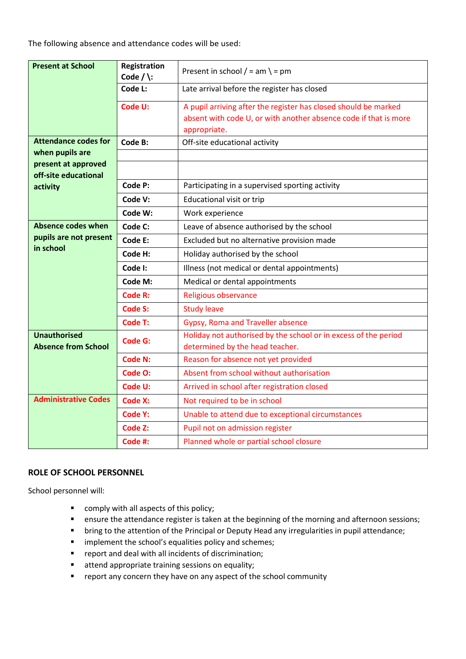The following absence and attendance codes will be used:

| <b>Present at School</b>                                         | Registration<br>Code $/\$ :             | Present in school $/ = am \ = pm$                                                                                                                   |  |  |
|------------------------------------------------------------------|-----------------------------------------|-----------------------------------------------------------------------------------------------------------------------------------------------------|--|--|
|                                                                  | Code L:                                 | Late arrival before the register has closed                                                                                                         |  |  |
|                                                                  | Code U:                                 | A pupil arriving after the register has closed should be marked<br>absent with code U, or with another absence code if that is more<br>appropriate. |  |  |
| <b>Attendance codes for</b>                                      | Code B:                                 | Off-site educational activity                                                                                                                       |  |  |
| when pupils are                                                  |                                         |                                                                                                                                                     |  |  |
| present at approved<br>off-site educational                      |                                         |                                                                                                                                                     |  |  |
| activity                                                         | Code P:                                 | Participating in a supervised sporting activity                                                                                                     |  |  |
|                                                                  | Code V:                                 | Educational visit or trip                                                                                                                           |  |  |
|                                                                  | Code W:                                 | Work experience                                                                                                                                     |  |  |
| <b>Absence codes when</b><br>pupils are not present<br>in school | Code C:                                 | Leave of absence authorised by the school                                                                                                           |  |  |
|                                                                  | Code E:                                 | Excluded but no alternative provision made                                                                                                          |  |  |
|                                                                  | Code H:                                 | Holiday authorised by the school                                                                                                                    |  |  |
|                                                                  | Code I:                                 | Illness (not medical or dental appointments)                                                                                                        |  |  |
|                                                                  | Code M:                                 | Medical or dental appointments                                                                                                                      |  |  |
|                                                                  | Code R:                                 | Religious observance                                                                                                                                |  |  |
|                                                                  | <b>Code S:</b>                          | <b>Study leave</b>                                                                                                                                  |  |  |
|                                                                  | Code T:                                 | Gypsy, Roma and Traveller absence                                                                                                                   |  |  |
| <b>Unauthorised</b><br>Code G:<br><b>Absence from School</b>     |                                         | Holiday not authorised by the school or in excess of the period<br>determined by the head teacher.                                                  |  |  |
|                                                                  | <b>Code N:</b>                          | Reason for absence not yet provided                                                                                                                 |  |  |
|                                                                  | Code O:                                 | Absent from school without authorisation                                                                                                            |  |  |
|                                                                  | Code U:                                 | Arrived in school after registration closed                                                                                                         |  |  |
| <b>Administrative Codes</b>                                      | Code X:<br>Not required to be in school |                                                                                                                                                     |  |  |
|                                                                  | <b>Code Y:</b>                          | Unable to attend due to exceptional circumstances                                                                                                   |  |  |
|                                                                  | Code Z:                                 | Pupil not on admission register                                                                                                                     |  |  |
|                                                                  | Code #:                                 | Planned whole or partial school closure                                                                                                             |  |  |

#### **ROLE OF SCHOOL PERSONNEL**

School personnel will:

- **•** comply with all aspects of this policy;
- **E** ensure the attendance register is taken at the beginning of the morning and afternoon sessions;
- **•** bring to the attention of the Principal or Deputy Head any irregularities in pupil attendance;
- **F** implement the school's equalities policy and schemes;
- report and deal with all incidents of discrimination;
- **attend appropriate training sessions on equality;**
- **F** report any concern they have on any aspect of the school community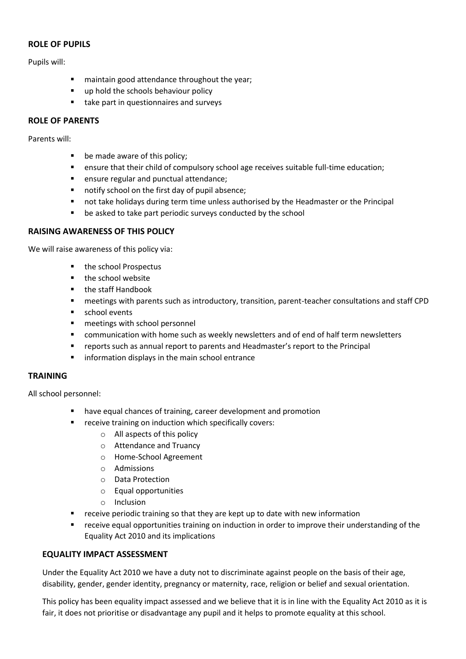#### **ROLE OF PUPILS**

Pupils will:

- **EXEDENT** maintain good attendance throughout the year;
- up hold the schools behaviour policy
- take part in questionnaires and surveys

## **ROLE OF PARENTS**

Parents will:

- **be made aware of this policy;**
- ensure that their child of compulsory school age receives suitable full-time education;
- **EXE** ensure regular and punctual attendance;
- notify school on the first day of pupil absence;
- not take holidays during term time unless authorised by the Headmaster or the Principal
- **•** be asked to take part periodic surveys conducted by the school

## **RAISING AWARENESS OF THIS POLICY**

We will raise awareness of this policy via:

- the school Prospectus
- the school website
- the staff Handbook
- meetings with parents such as introductory, transition, parent-teacher consultations and staff CPD
- **school events**
- **n** meetings with school personnel
- **E** communication with home such as weekly newsletters and of end of half term newsletters
- reports such as annual report to parents and Headmaster's report to the Principal
- **F** information displays in the main school entrance

#### **TRAINING**

All school personnel:

- have equal chances of training, career development and promotion
- **F** receive training on induction which specifically covers:
	- o All aspects of this policy
	- o Attendance and Truancy
	- o Home-School Agreement
	- o Admissions
	- o Data Protection
	- o Equal opportunities
	- o Inclusion
- **F** receive periodic training so that they are kept up to date with new information
- receive equal opportunities training on induction in order to improve their understanding of the Equality Act 2010 and its implications

#### **EQUALITY IMPACT ASSESSMENT**

Under the Equality Act 2010 we have a duty not to discriminate against people on the basis of their age, disability, gender, gender identity, pregnancy or maternity, race, religion or belief and sexual orientation.

This policy has been equality impact assessed and we believe that it is in line with the Equality Act 2010 as it is fair, it does not prioritise or disadvantage any pupil and it helps to promote equality at this school.